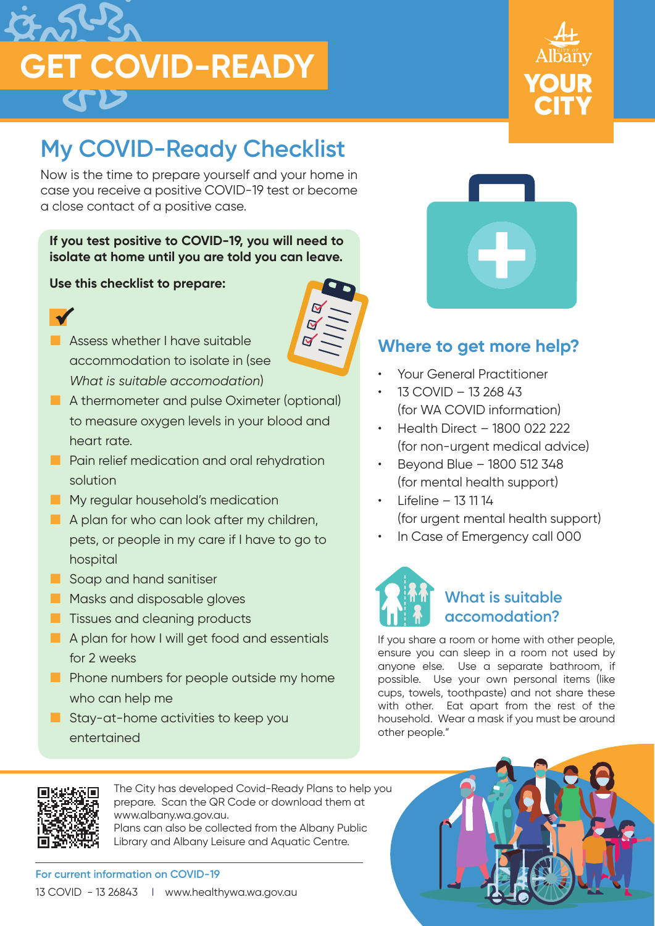



# **My COVID-Ready Checklist**

Now is the time to prepare yourself and your home in case you receive a positive COVID-19 test or become a close contact of a positive case.

# **If you test positive to COVID-19, you will need to isolate at home until you are told you can leave.**

 $\overline{\mathbf{M}}$ 

#### **Use this checklist to prepare:**



- **Assess whether I have suitable** accommodation to isolate in (see *What is suitable accomodation*)
- A thermometer and pulse Oximeter (optional) to measure oxygen levels in your blood and heart rate.
- **Pain relief medication and oral rehydration** solution
- **My regular household's medication**
- A plan for who can look after my children, pets, or people in my care if I have to go to hospital
- Soap and hand sanitiser
- **Masks and disposable gloves**
- **Tissues and cleaning products**
- A plan for how I will get food and essentials for 2 weeks
- **Phone numbers for people outside my home** who can help me
- Stay-at-home activities to keep you entertained



# **Where to get more help?**

- Your General Practitioner
- 13 COVID 13 268 43 (for WA COVID information)
- Health Direct 1800 022 222 (for non-urgent medical advice)
- Beyond Blue 1800 512 348 (for mental health support)
- Lifeline 13 11 14 (for urgent mental health support)
- In Case of Emergency call 000



If you share a room or home with other people, ensure you can sleep in a room not used by anyone else. Use a separate bathroom, if possible. Use your own personal items (like cups, towels, toothpaste) and not share these with other. Eat apart from the rest of the household. Wear a mask if you must be around other people."



The City has developed Covid-Ready Plans to help you prepare. Scan the QR Code or download them at www.albany.wa.gov.au.

Plans can also be collected from the Albany Public Library and Albany Leisure and Aquatic Centre.

**For current information on COVID-19** 13 COVID - 13 26843 | www.healthywa.wa.gov.au